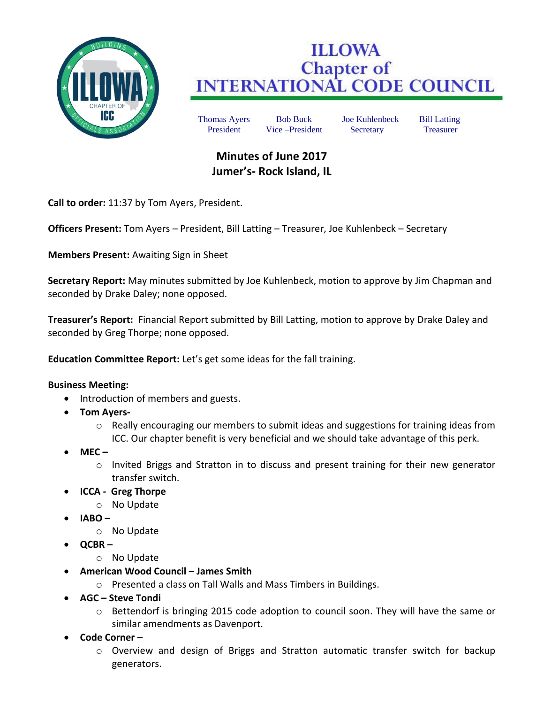

## **ILLOWA Chapter of<br>INTERNATIONAL CODE COUNCIL**

Thomas Ayers Bob Buck Joe Kuhlenbeck Bill Latting President Vice –President Secretary Treasurer

## **Minutes of June 2017 Jumer's- Rock Island, IL**

**Call to order:** 11:37 by Tom Ayers, President.

**Officers Present:** Tom Ayers – President, Bill Latting – Treasurer, Joe Kuhlenbeck – Secretary

**Members Present:** Awaiting Sign in Sheet

**Secretary Report:** May minutes submitted by Joe Kuhlenbeck, motion to approve by Jim Chapman and seconded by Drake Daley; none opposed.

**Treasurer's Report:** Financial Report submitted by Bill Latting, motion to approve by Drake Daley and seconded by Greg Thorpe; none opposed.

**Education Committee Report:** Let's get some ideas for the fall training.

## **Business Meeting:**

- Introduction of members and guests.
- **Tom Ayers**
	- o Really encouraging our members to submit ideas and suggestions for training ideas from ICC. Our chapter benefit is very beneficial and we should take advantage of this perk.
- **MEC –**
	- o Invited Briggs and Stratton in to discuss and present training for their new generator transfer switch.
- **ICCA Greg Thorpe**
	- o No Update
- **IABO –**
	- o No Update
- **QCBR –**
	- o No Update
- **American Wood Council – James Smith**
	- o Presented a class on Tall Walls and Mass Timbers in Buildings.
- **AGC – Steve Tondi**
	- o Bettendorf is bringing 2015 code adoption to council soon. They will have the same or similar amendments as Davenport.
- **Code Corner –**
	- o Overview and design of Briggs and Stratton automatic transfer switch for backup generators.